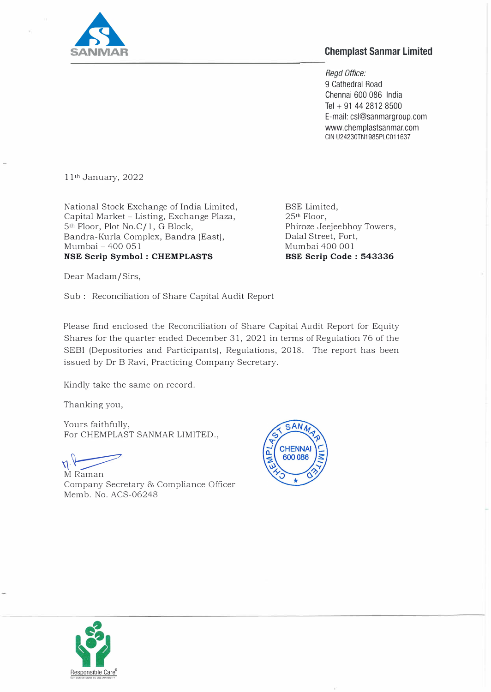

## **Chemplast Sanmar Limited**

*Regd Office:*  9 Cathedral Road Chennai 600 086 India Tel + 91 44 2812 8500 E-mail: csl@sanmargroup.com www.chemplastsanmar.com GIN U24230TN1985PLC011637

11th January, 2022

National Stock Exchange of India Limited, Capital Market - Listing, Exchange Plaza, 5th Floor, Plot *No.Cf* 1, G Block, Bandra-Kurla Complex, Bandra (East), Mumbai - 400 051 **NSE Scrip Symbol : CHEMPLASTS** 

BSE Limited, 25th Floor, Phiroze Jeejeebhoy Towers, Dalal Street, Fort, Mumbai 400 001 **BSE Scrip Code : 543336** 

Dear Madam/Sirs,

Sub : Reconciliation of Share Capital Audit Report

Please find enclosed the Reconciliation of Share Capital Audit Report for Equity Shares for the quarter ended December 31, 2021 in terms of Regulation 76 of the SEBI (Depositories and Participants), Regulations, 2018. The report has been issued by Dr B Ravi, Practicing Company Secretary.

Kindly take the same on record.

Thanking you,

Yours faithfully, For CHEMPLAST SANMAR LIMITED.,

 $\bigwedge_{\text{M} \text{ Raman}}$ 

Company Secretary & Compliance Officer Memb. No. ACS-06248



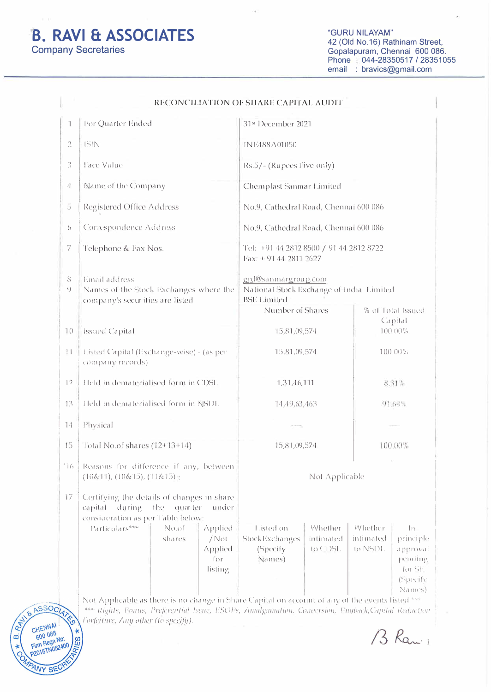## **B. RAVI & ASSOCIATES Company Secretaries**

 $\mathbf{e}$ 

 $\infty$ 

CHENNAL

600 086

Firm Regn No:<br>P2016TN052400

ANY SEC

 $\star$ 

RIES

"GURU NILAYAM" 42 (Old No.16) Rathinam Street,<br>Gopalapuram, Chennai 600 086. Phone: 044-28350517 / 28351055 email : bravics@gmail.com

| 1                 | For Quarter Ended                                                                                                                                                                                                                         | 31st December 2021                                                                                                                                                                                  |                                                                                                                    |  |
|-------------------|-------------------------------------------------------------------------------------------------------------------------------------------------------------------------------------------------------------------------------------------|-----------------------------------------------------------------------------------------------------------------------------------------------------------------------------------------------------|--------------------------------------------------------------------------------------------------------------------|--|
| $\overline{a}$    | <b>ISIN</b>                                                                                                                                                                                                                               | <b>INIZI88A01050</b>                                                                                                                                                                                |                                                                                                                    |  |
| 3                 | Face Value                                                                                                                                                                                                                                | Rs.5/- (Rupees Five only)                                                                                                                                                                           |                                                                                                                    |  |
| 4                 | Name of the Company                                                                                                                                                                                                                       | Chemplast Sanmar Limited                                                                                                                                                                            |                                                                                                                    |  |
| 5                 | Registered Office Address                                                                                                                                                                                                                 | No.9, Cathedral Road, Chennai 600 086                                                                                                                                                               |                                                                                                                    |  |
| $\left( \right)$  | Correspondence Address                                                                                                                                                                                                                    | No.9, Cathedral Road, Chennai 600 086                                                                                                                                                               |                                                                                                                    |  |
| 7                 | Telephone & Fax Nos.                                                                                                                                                                                                                      | Tel: +91 44 2812 8500 / 91 44 2812 8722<br>Fax: + 91 44 2811 2627<br>grd@sanmargroup.com<br>National Stock Exchange of India Limited<br><b>BSE Limited</b><br>Number of Shares<br>% of Total Issued |                                                                                                                    |  |
| 8<br>9            | Email address<br>Names of the Stock Exchanges where the<br>company's securities are listed                                                                                                                                                |                                                                                                                                                                                                     |                                                                                                                    |  |
| $\overline{1}$ () | <b>Issued Capital</b>                                                                                                                                                                                                                     | 15,81,09,574                                                                                                                                                                                        | Capital<br>$(1)(1)(1)$ <sup>0%</sup>                                                                               |  |
| H                 | Listed Capital (Exchange-wise) - (as per<br>company records)                                                                                                                                                                              | 15,81,09,574                                                                                                                                                                                        | $100.00\%$<br>$8.31\%$<br>91.69%                                                                                   |  |
| 12                | Held in dematerialised form in CDSL                                                                                                                                                                                                       | 1,31,46,111                                                                                                                                                                                         |                                                                                                                    |  |
| 13                | Held in dematerialised form in NSDL                                                                                                                                                                                                       | 14,49,63,463                                                                                                                                                                                        |                                                                                                                    |  |
| 14                | Physical                                                                                                                                                                                                                                  |                                                                                                                                                                                                     |                                                                                                                    |  |
| 15                | Total No.of shares (12+13+14)                                                                                                                                                                                                             | 15,81,09,574                                                                                                                                                                                        | 100.00%                                                                                                            |  |
| 16                | Reasons for difference if any, between<br>(10&11), (10&15), (11&15);                                                                                                                                                                      | Not Applicable                                                                                                                                                                                      |                                                                                                                    |  |
| 17                | Certifying the details of changes in share<br>auar ter<br>capital<br>during<br>the<br>under<br>consideration as per Table below:<br>Particulars***<br>No.of<br><b>Applied</b><br>shares<br>$/$ Not<br>Applied<br>$\int$ $\int$<br>listing | Listed on<br>Whether<br>StockExchanges<br>intimated<br>$10$ CDSL<br>(Specify)<br>Names)                                                                                                             | Whether<br>$ 1\rangle$<br>intimated<br>principle<br>to NSDL<br>approval<br>pending<br>for SF<br>(Specify<br>Names) |  |

B Ran 1